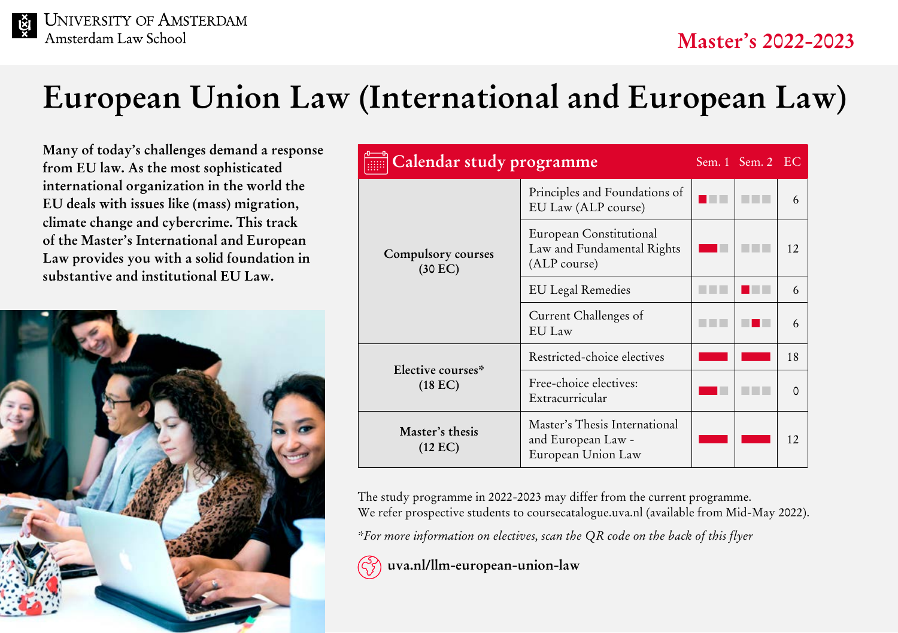# **European Union Law (International and European Law)**

**Many of today's challenges demand a response from EU law. As the most sophisticated international organization in the world the EU deals with issues like (mass) migration, climate change and cybercrime. This track of the Master's International and European Law provides you with a solid foundation in substantive and institutional EU Law.**



| Calendar study programme             |                                                                           |  | Sem. $1$ Sem. $2$ EC |    |
|--------------------------------------|---------------------------------------------------------------------------|--|----------------------|----|
| Compulsory courses<br>(30 EC)        | Principles and Foundations of<br>EU Law (ALP course)                      |  |                      | 6  |
|                                      | European Constitutional<br>Law and Fundamental Rights<br>(ALP course)     |  |                      | 12 |
|                                      | <b>EU</b> Legal Remedies                                                  |  |                      | 6  |
|                                      | Current Challenges of<br>EU Law                                           |  |                      | 6  |
| Elective courses*<br>(18 EC)         | Restricted-choice electives                                               |  |                      | 18 |
|                                      | Free-choice electives:<br>Extracurricular                                 |  |                      | 0  |
| Master's thesis<br>$(12 \text{ EC})$ | Master's Thesis International<br>and European Law -<br>European Union Law |  |                      | 12 |

The study programme in 2022-2023 may differ from the current programme. We refer prospective students to [coursecatalogue.uva.nl](http://coursecatalogue.uva.nl) (available from Mid-May 2022).

*\*For more information on electives, scan the QR code on the back of this flyer*

 **[uva.nl/llm-european-union-law](http://uva.nl/llm-european-union-law)**